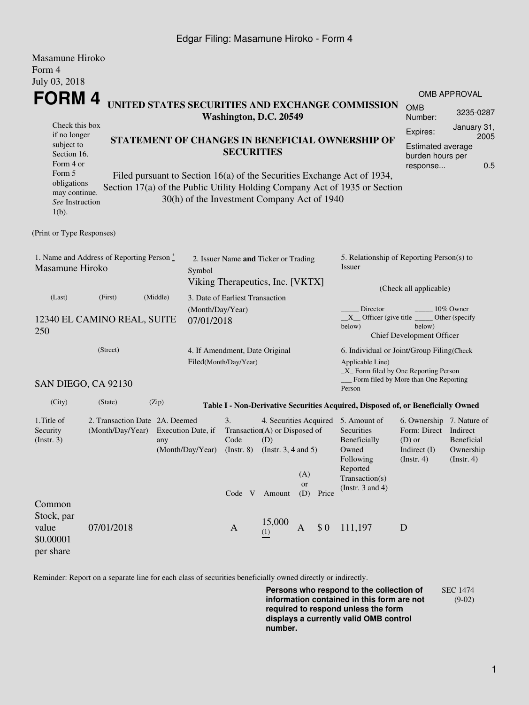## Edgar Filing: Masamune Hiroko - Form 4

| Masamune Hiroko                                                       |                                                                   |                                                                                                                                                                                                                         |                                                                                    |              |                                                                                                                                           |                                                                                                                                              |                        |                                                                                  |                                                                                                           |                                                         |  |  |
|-----------------------------------------------------------------------|-------------------------------------------------------------------|-------------------------------------------------------------------------------------------------------------------------------------------------------------------------------------------------------------------------|------------------------------------------------------------------------------------|--------------|-------------------------------------------------------------------------------------------------------------------------------------------|----------------------------------------------------------------------------------------------------------------------------------------------|------------------------|----------------------------------------------------------------------------------|-----------------------------------------------------------------------------------------------------------|---------------------------------------------------------|--|--|
| Form 4                                                                |                                                                   |                                                                                                                                                                                                                         |                                                                                    |              |                                                                                                                                           |                                                                                                                                              |                        |                                                                                  |                                                                                                           |                                                         |  |  |
| July 03, 2018                                                         |                                                                   |                                                                                                                                                                                                                         |                                                                                    |              |                                                                                                                                           |                                                                                                                                              |                        |                                                                                  |                                                                                                           |                                                         |  |  |
| FORM 4                                                                |                                                                   |                                                                                                                                                                                                                         |                                                                                    |              | <b>OMB APPROVAL</b>                                                                                                                       |                                                                                                                                              |                        |                                                                                  |                                                                                                           |                                                         |  |  |
|                                                                       |                                                                   |                                                                                                                                                                                                                         | Washington, D.C. 20549                                                             |              | UNITED STATES SECURITIES AND EXCHANGE COMMISSION                                                                                          | <b>OMB</b><br>Number:                                                                                                                        | 3235-0287              |                                                                                  |                                                                                                           |                                                         |  |  |
| Check this box                                                        |                                                                   |                                                                                                                                                                                                                         |                                                                                    |              |                                                                                                                                           | Expires:                                                                                                                                     | January 31,<br>2005    |                                                                                  |                                                                                                           |                                                         |  |  |
| if no longer<br>subject to<br>Section 16.<br>Form 4 or                |                                                                   | STATEMENT OF CHANGES IN BENEFICIAL OWNERSHIP OF<br><b>SECURITIES</b>                                                                                                                                                    |                                                                                    |              |                                                                                                                                           |                                                                                                                                              |                        |                                                                                  |                                                                                                           |                                                         |  |  |
| Form 5<br>obligations<br>may continue.<br>See Instruction<br>$1(b)$ . |                                                                   | 0.5<br>response<br>Filed pursuant to Section 16(a) of the Securities Exchange Act of 1934,<br>Section 17(a) of the Public Utility Holding Company Act of 1935 or Section<br>30(h) of the Investment Company Act of 1940 |                                                                                    |              |                                                                                                                                           |                                                                                                                                              |                        |                                                                                  |                                                                                                           |                                                         |  |  |
| (Print or Type Responses)                                             |                                                                   |                                                                                                                                                                                                                         |                                                                                    |              |                                                                                                                                           |                                                                                                                                              |                        |                                                                                  |                                                                                                           |                                                         |  |  |
| 1. Name and Address of Reporting Person $\degree$<br>Masamune Hiroko  |                                                                   |                                                                                                                                                                                                                         | 2. Issuer Name and Ticker or Trading<br>Symbol<br>Viking Therapeutics, Inc. [VKTX] |              |                                                                                                                                           |                                                                                                                                              |                        | 5. Relationship of Reporting Person(s) to<br>Issuer                              |                                                                                                           |                                                         |  |  |
|                                                                       |                                                                   |                                                                                                                                                                                                                         |                                                                                    |              |                                                                                                                                           |                                                                                                                                              | (Check all applicable) |                                                                                  |                                                                                                           |                                                         |  |  |
| (Last)<br>12340 EL CAMINO REAL, SUITE<br>250                          | 3. Date of Earliest Transaction<br>(Month/Day/Year)<br>07/01/2018 |                                                                                                                                                                                                                         |                                                                                    |              |                                                                                                                                           | Director<br>10% Owner<br>$X$ Officer (give title $\overline{\phantom{a}}$<br>Other (specify<br>below)<br>below)<br>Chief Development Officer |                        |                                                                                  |                                                                                                           |                                                         |  |  |
|                                                                       | (Street)                                                          |                                                                                                                                                                                                                         |                                                                                    |              | 4. If Amendment, Date Original<br>Filed(Month/Day/Year)                                                                                   |                                                                                                                                              |                        |                                                                                  | 6. Individual or Joint/Group Filing(Check<br>Applicable Line)<br>$\_X$ Form filed by One Reporting Person |                                                         |  |  |
|                                                                       | SAN DIEGO, CA 92130                                               |                                                                                                                                                                                                                         |                                                                                    |              |                                                                                                                                           |                                                                                                                                              |                        | Person                                                                           | Form filed by More than One Reporting                                                                     |                                                         |  |  |
| (City)                                                                | (State)                                                           | (Zip)                                                                                                                                                                                                                   |                                                                                    |              |                                                                                                                                           |                                                                                                                                              |                        | Table I - Non-Derivative Securities Acquired, Disposed of, or Beneficially Owned |                                                                                                           |                                                         |  |  |
| 1. Title of<br>Security<br>$($ Instr. 3 $)$                           | 2. Transaction Date 2A. Deemed<br>(Month/Day/Year)                | any                                                                                                                                                                                                                     | Execution Date, if<br>(Month/Day/Year)                                             |              | 3.<br>4. Securities Acquired 5. Amount of<br>Transaction(A) or Disposed of<br>Code<br>(D)<br>(Instr. $3, 4$ and $5$ )<br>$($ Instr. 8 $)$ |                                                                                                                                              |                        | Securities<br>Beneficially<br>Owned<br>Following                                 | 6. Ownership 7. Nature of<br>Form: Direct<br>$(D)$ or<br>Indirect $(I)$<br>(Insert. 4)                    | Indirect<br>Beneficial<br>Ownership<br>$($ Instr. 4 $)$ |  |  |
|                                                                       |                                                                   |                                                                                                                                                                                                                         |                                                                                    | Code V       | Amount                                                                                                                                    | (A)<br>or<br>(D)                                                                                                                             | Price                  | Reported<br>Transaction(s)<br>(Instr. $3$ and $4$ )                              |                                                                                                           |                                                         |  |  |
| Common<br>Stock, par<br>value<br>\$0.00001<br>per share               | 07/01/2018                                                        |                                                                                                                                                                                                                         |                                                                                    | $\mathbf{A}$ | 15,000<br>(1)                                                                                                                             | A                                                                                                                                            | \$0                    | 111,197                                                                          | D                                                                                                         |                                                         |  |  |

Reminder: Report on a separate line for each class of securities beneficially owned directly or indirectly.

**Persons who respond to the collection of information contained in this form are not required to respond unless the form displays a currently valid OMB control number.** SEC 1474 (9-02)